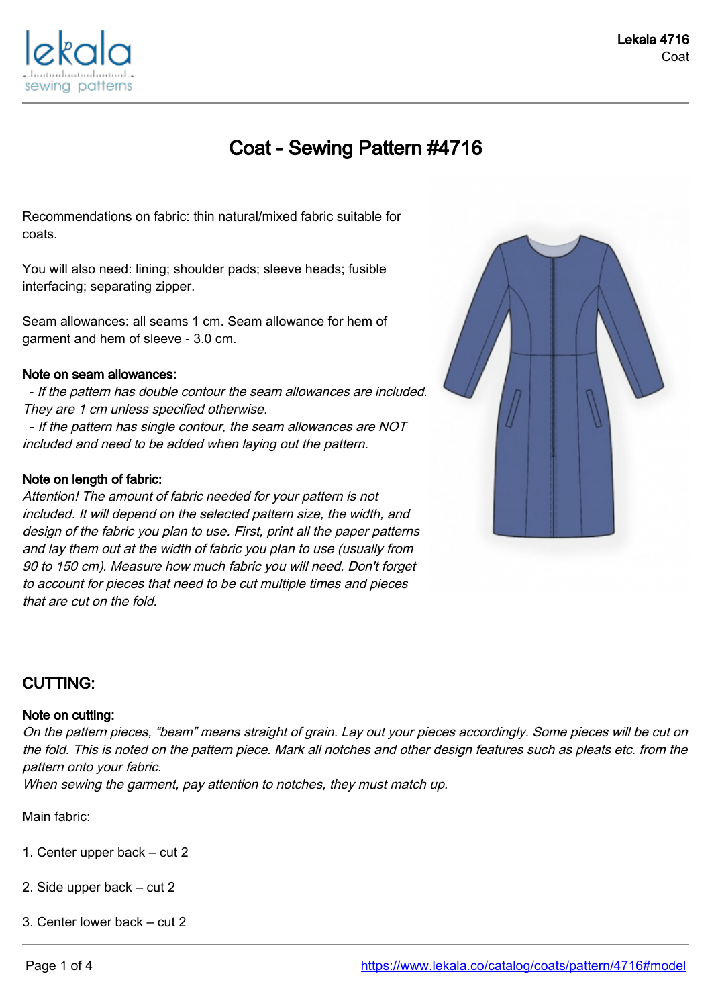

# Coat - Sewing Pattern #4716

Recommendations on fabric: thin natural/mixed fabric suitable for coats.

You will also need: lining; shoulder pads; sleeve heads; fusible interfacing; separating zipper.

Seam allowances: all seams 1 cm. Seam allowance for hem of garment and hem of sleeve - 3.0 cm.

#### Note on seam allowances:

 - If the pattern has double contour the seam allowances are included. They are 1 cm unless specified otherwise.

 - If the pattern has single contour, the seam allowances are NOT included and need to be added when laying out the pattern.

#### Note on length of fabric:

Attention! The amount of fabric needed for your pattern is not included. It will depend on the selected pattern size, the width, and design of the fabric you plan to use. First, print all the paper patterns and lay them out at the width of fabric you plan to use (usually from 90 to 150 cm). Measure how much fabric you will need. Don't forget to account for pieces that need to be cut multiple times and pieces that are cut on the fold.



## CUTTING:

#### Note on cutting:

On the pattern pieces, "beam" means straight of grain. Lay out your pieces accordingly. Some pieces will be cut on the fold. This is noted on the pattern piece. Mark all notches and other design features such as pleats etc. from the pattern onto your fabric.

When sewing the garment, pay attention to notches, they must match up.

Main fabric:

- 1. Center upper back cut 2
- 2. Side upper back cut 2
- 3. Center lower back cut 2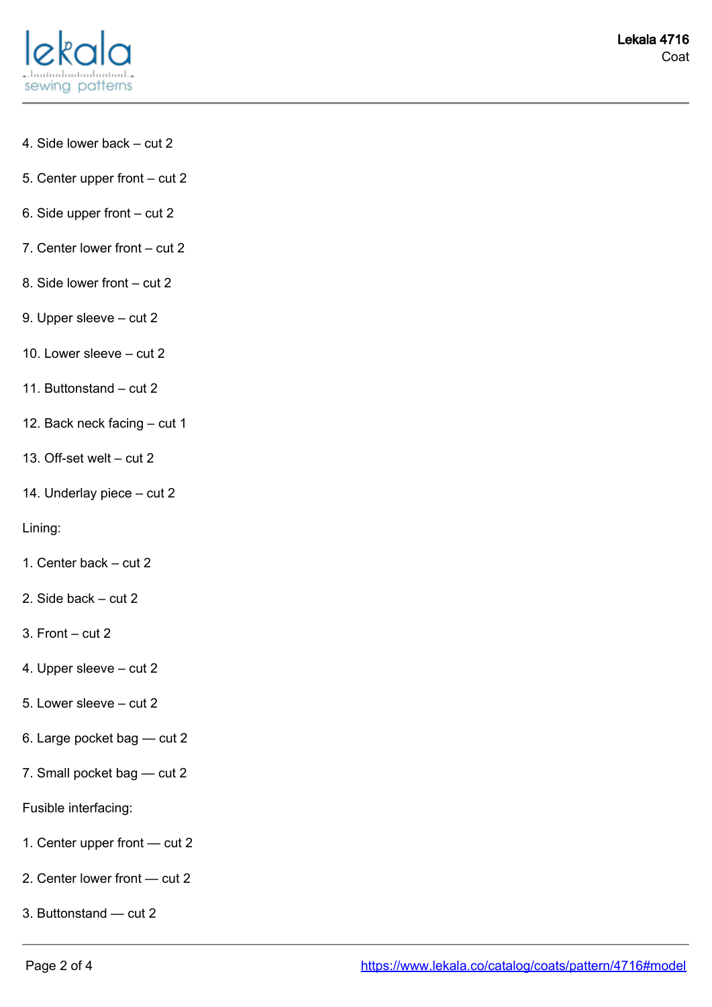

- 4. Side lower back cut 2
- 5. Center upper front cut 2
- 6. Side upper front cut 2
- 7. Center lower front cut 2
- 8. Side lower front cut 2
- 9. Upper sleeve cut 2
- 10. Lower sleeve cut 2
- 11. Buttonstand cut 2
- 12. Back neck facing cut 1
- 13. Off-set welt cut 2
- 14. Underlay piece cut 2

#### Lining:

- 1. Center back cut 2
- 2. Side back cut 2
- 3. Front cut 2
- 4. Upper sleeve cut 2
- 5. Lower sleeve cut 2
- 6. Large pocket bag cut 2
- 7. Small pocket bag cut 2
- Fusible interfacing:
- 1. Center upper front cut 2
- 2. Center lower front cut 2
- 3. Buttonstand cut 2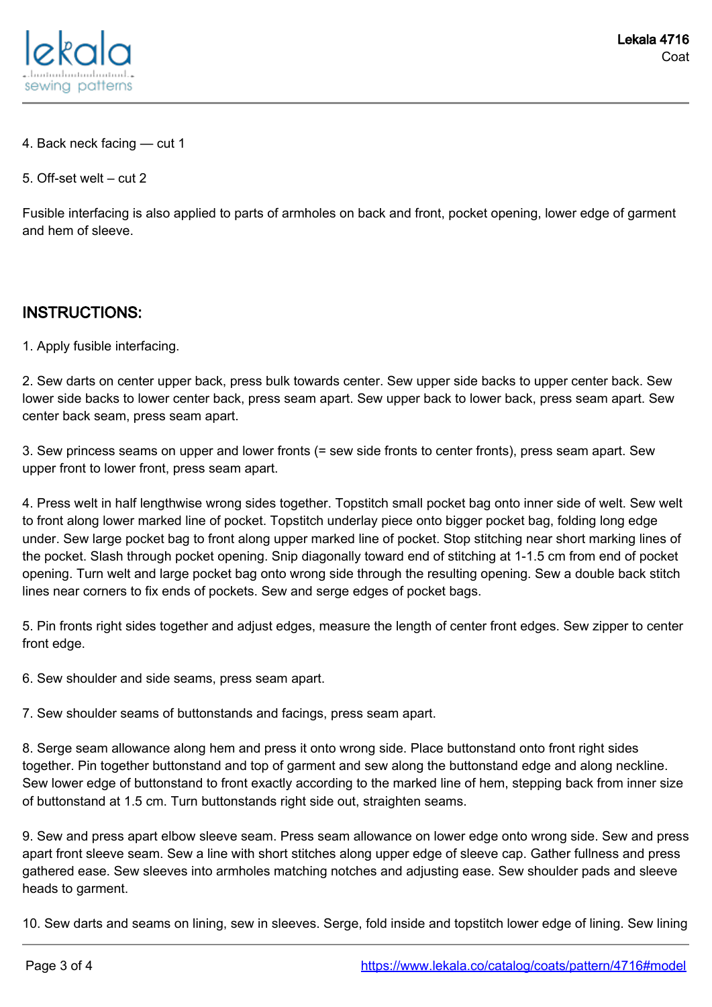

- 4. Back neck facing cut 1
- 5. Off-set welt cut 2

Fusible interfacing is also applied to parts of armholes on back and front, pocket opening, lower edge of garment and hem of sleeve.

### INSTRUCTIONS:

1. Apply fusible interfacing.

2. Sew darts on center upper back, press bulk towards center. Sew upper side backs to upper center back. Sew lower side backs to lower center back, press seam apart. Sew upper back to lower back, press seam apart. Sew center back seam, press seam apart.

3. Sew princess seams on upper and lower fronts (= sew side fronts to center fronts), press seam apart. Sew upper front to lower front, press seam apart.

4. Press welt in half lengthwise wrong sides together. Topstitch small pocket bag onto inner side of welt. Sew welt to front along lower marked line of pocket. Topstitch underlay piece onto bigger pocket bag, folding long edge under. Sew large pocket bag to front along upper marked line of pocket. Stop stitching near short marking lines of the pocket. Slash through pocket opening. Snip diagonally toward end of stitching at 1-1.5 cm from end of pocket opening. Turn welt and large pocket bag onto wrong side through the resulting opening. Sew a double back stitch lines near corners to fix ends of pockets. Sew and serge edges of pocket bags.

5. Pin fronts right sides together and adjust edges, measure the length of center front edges. Sew zipper to center front edge.

6. Sew shoulder and side seams, press seam apart.

7. Sew shoulder seams of buttonstands and facings, press seam apart.

8. Serge seam allowance along hem and press it onto wrong side. Place buttonstand onto front right sides together. Pin together buttonstand and top of garment and sew along the buttonstand edge and along neckline. Sew lower edge of buttonstand to front exactly according to the marked line of hem, stepping back from inner size of buttonstand at 1.5 cm. Turn buttonstands right side out, straighten seams.

9. Sew and press apart elbow sleeve seam. Press seam allowance on lower edge onto wrong side. Sew and press apart front sleeve seam. Sew a line with short stitches along upper edge of sleeve cap. Gather fullness and press gathered ease. Sew sleeves into armholes matching notches and adjusting ease. Sew shoulder pads and sleeve heads to garment.

10. Sew darts and seams on lining, sew in sleeves. Serge, fold inside and topstitch lower edge of lining. Sew lining